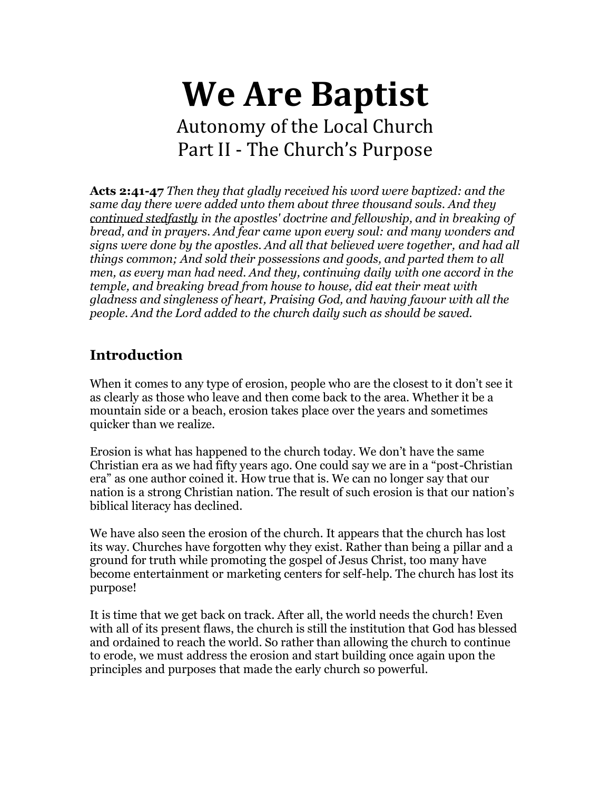# **We Are Baptist** Autonomy of the Local Church Part II - The Church's Purpose

**Acts 2:41-47** *Then they that gladly received his word were baptized: and the same day there were added unto them about three thousand souls. And they continued stedfastly in the apostles' doctrine and fellowship, and in breaking of bread, and in prayers. And fear came upon every soul: and many wonders and signs were done by the apostles. And all that believed were together, and had all things common; And sold their possessions and goods, and parted them to all men, as every man had need. And they, continuing daily with one accord in the temple, and breaking bread from house to house, did eat their meat with gladness and singleness of heart, Praising God, and having favour with all the people. And the Lord added to the church daily such as should be saved.*

# **Introduction**

When it comes to any type of erosion, people who are the closest to it don't see it as clearly as those who leave and then come back to the area. Whether it be a mountain side or a beach, erosion takes place over the years and sometimes quicker than we realize.

Erosion is what has happened to the church today. We don't have the same Christian era as we had fifty years ago. One could say we are in a "post-Christian era" as one author coined it. How true that is. We can no longer say that our nation is a strong Christian nation. The result of such erosion is that our nation's biblical literacy has declined.

We have also seen the erosion of the church. It appears that the church has lost its way. Churches have forgotten why they exist. Rather than being a pillar and a ground for truth while promoting the gospel of Jesus Christ, too many have become entertainment or marketing centers for self-help. The church has lost its purpose!

It is time that we get back on track. After all, the world needs the church! Even with all of its present flaws, the church is still the institution that God has blessed and ordained to reach the world. So rather than allowing the church to continue to erode, we must address the erosion and start building once again upon the principles and purposes that made the early church so powerful.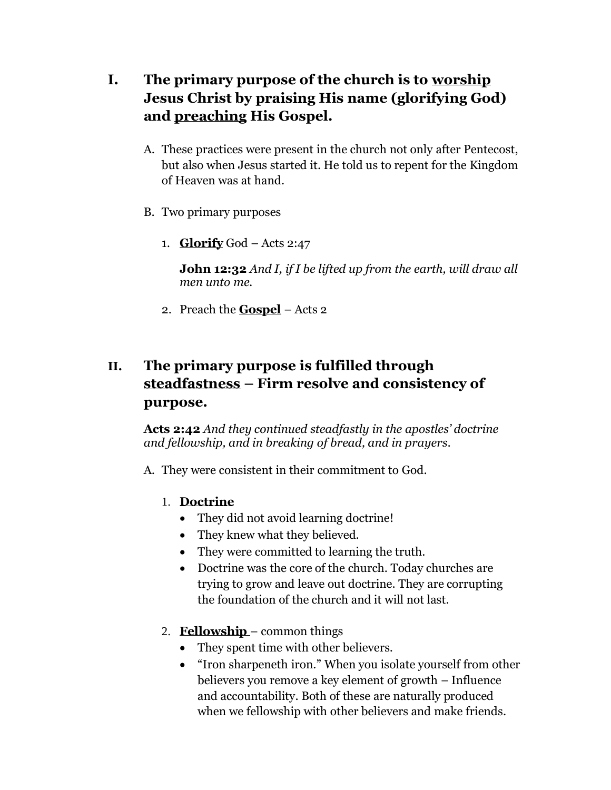- **I. The primary purpose of the church is to worship Jesus Christ by praising His name (glorifying God) and preaching His Gospel.**
	- A. These practices were present in the church not only after Pentecost, but also when Jesus started it. He told us to repent for the Kingdom of Heaven was at hand.
	- B. Two primary purposes
		- 1. **Glorify** God Acts 2:47

**John 12:32** *And I, if I be lifted up from the earth, will draw all men unto me.*

2. Preach the **Gospel** – Acts 2

# **II. The primary purpose is fulfilled through steadfastness – Firm resolve and consistency of purpose.**

**Acts 2:42** *And they continued steadfastly in the apostles' doctrine and fellowship, and in breaking of bread, and in prayers.*

- A. They were consistent in their commitment to God.
	- 1. **Doctrine**
		- They did not avoid learning doctrine!
		- They knew what they believed.
		- They were committed to learning the truth.
		- Doctrine was the core of the church. Today churches are trying to grow and leave out doctrine. They are corrupting the foundation of the church and it will not last.
	- 2. **Fellowship**  common things
		- They spent time with other believers.
		- "Iron sharpeneth iron." When you isolate yourself from other believers you remove a key element of growth – Influence and accountability. Both of these are naturally produced when we fellowship with other believers and make friends.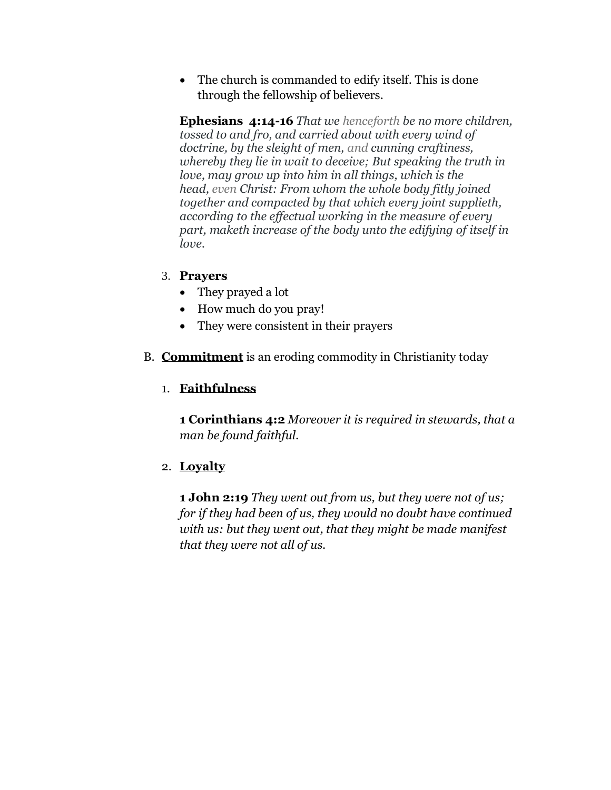• The church is commanded to edify itself. This is done through the fellowship of believers.

**Ephesians 4:14-16** *That we henceforth be no more children, tossed to and fro, and carried about with every wind of doctrine, by the sleight of men, and cunning craftiness, whereby they lie in wait to deceive; But speaking the truth in love, may grow up into him in all things, which is the head, even Christ: From whom the whole body fitly joined together and compacted by that which every joint supplieth, according to the effectual working in the measure of every part, maketh increase of the body unto the edifying of itself in love.*

## 3. **Prayers**

- They prayed a lot
- How much do you pray!
- They were consistent in their prayers
- B. **Commitment** is an eroding commodity in Christianity today

## 1. **Faithfulness**

**1 Corinthians 4:2** *Moreover it is required in stewards, that a man be found faithful.*

## 2. **Loyalty**

**1 John 2:19** *They went out from us, but they were not of us; for if they had been of us, they would no doubt have continued with us: but they went out, that they might be made manifest that they were not all of us.*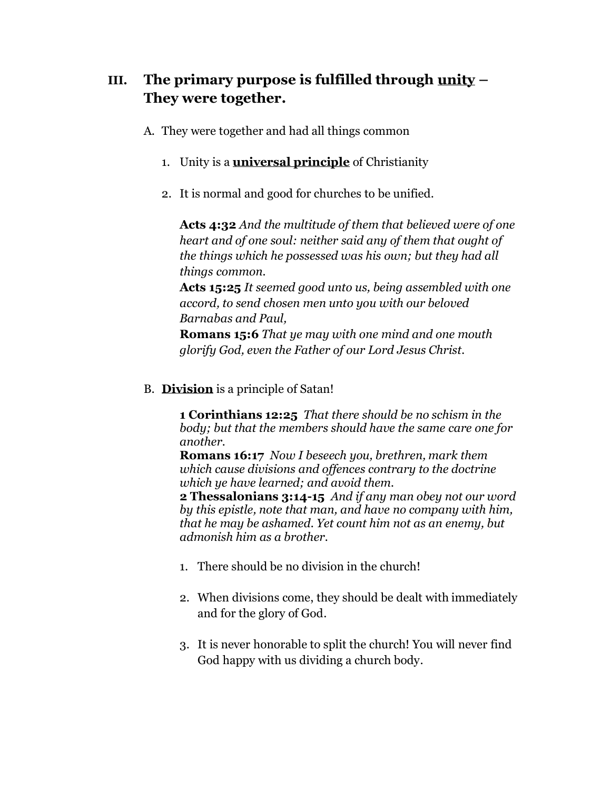## **III. The primary purpose is fulfilled through unity – They were together.**

- A. They were together and had all things common
	- 1. Unity is a **universal principle** of Christianity
	- 2. It is normal and good for churches to be unified.

**Acts 4:32** *And the multitude of them that believed were of one heart and of one soul: neither said any of them that ought of the things which he possessed was his own; but they had all things common.*

**Acts 15:25** *It seemed good unto us, being assembled with one accord, to send chosen men unto you with our beloved Barnabas and Paul,*

**Romans 15:6** *That ye may with one mind and one mouth glorify God, even the Father of our Lord Jesus Christ.*

B. **Division** is a principle of Satan!

**1 Corinthians 12:25** *That there should be no schism in the body; but that the members should have the same care one for another.*

**Romans 16:17** *Now I beseech you, brethren, mark them which cause divisions and offences contrary to the doctrine which ye have learned; and avoid them.*

**2 Thessalonians 3:14-15** *And if any man obey not our word by this epistle, note that man, and have no company with him, that he may be ashamed. Yet count him not as an enemy, but admonish him as a brother.*

- 1. There should be no division in the church!
- 2. When divisions come, they should be dealt with immediately and for the glory of God.
- 3. It is never honorable to split the church! You will never find God happy with us dividing a church body.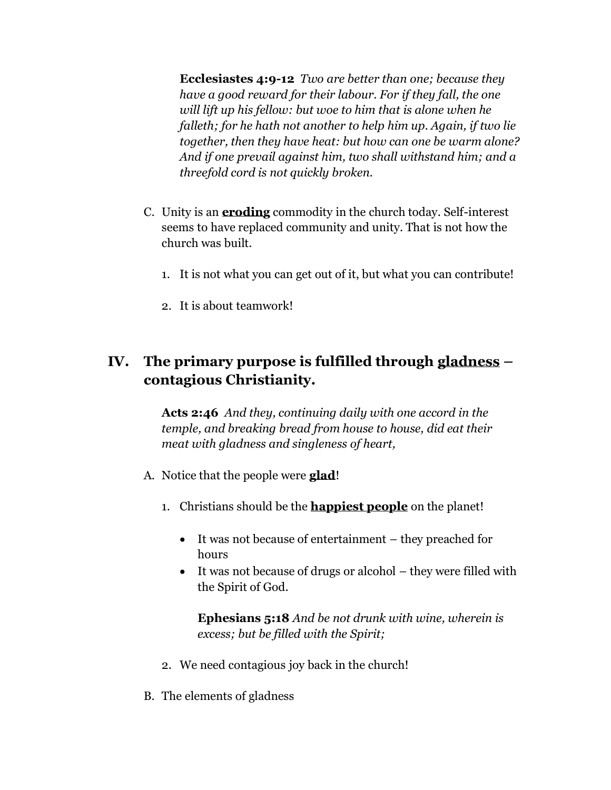**Ecclesiastes 4:9-12** *Two are better than one; because they have a good reward for their labour. For if they fall, the one will lift up his fellow: but woe to him that is alone when he falleth; for he hath not another to help him up. Again, if two lie together, then they have heat: but how can one be warm alone? And if one prevail against him, two shall withstand him; and a threefold cord is not quickly broken.*

- C. Unity is an **eroding** commodity in the church today. Self-interest seems to have replaced community and unity. That is not how the church was built.
	- 1. It is not what you can get out of it, but what you can contribute!
	- 2. It is about teamwork!

## **IV. The primary purpose is fulfilled through gladness – contagious Christianity.**

**Acts 2:46** *And they, continuing daily with one accord in the temple, and breaking bread from house to house, did eat their meat with gladness and singleness of heart,*

- A. Notice that the people were **glad**!
	- 1. Christians should be the **happiest people** on the planet!
		- It was not because of entertainment they preached for hours
		- It was not because of drugs or alcohol they were filled with the Spirit of God.

**Ephesians 5:18** *And be not drunk with wine, wherein is excess; but be filled with the Spirit;*

- 2. We need contagious joy back in the church!
- B. The elements of gladness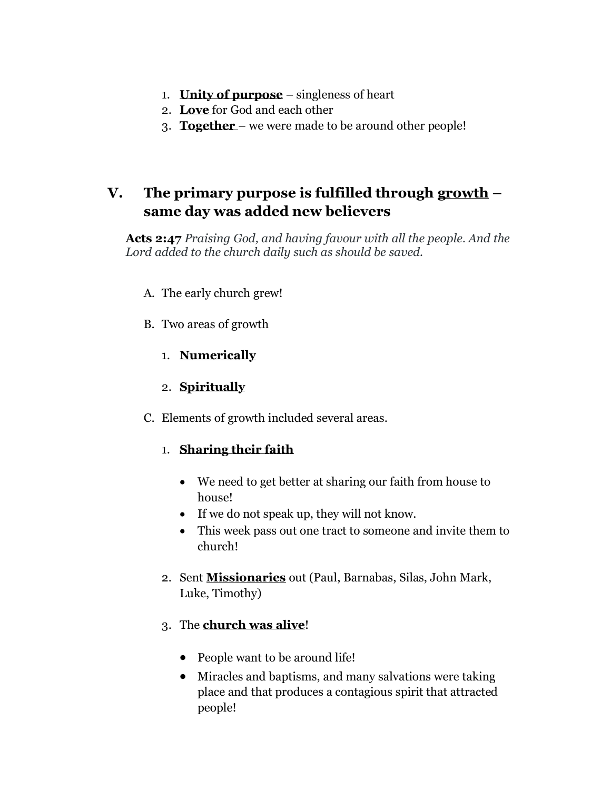- 1. **Unity of purpose** singleness of heart
- 2. **Love** for God and each other
- 3. **Together**  we were made to be around other people!

## **V. The primary purpose is fulfilled through growth – same day was added new believers**

**Acts 2:47** *Praising God, and having favour with all the people. And the Lord added to the church daily such as should be saved.*

- A. The early church grew!
- B. Two areas of growth
	- 1. **Numerically**
	- 2. **Spiritually**
- C. Elements of growth included several areas.

## 1. **Sharing their faith**

- We need to get better at sharing our faith from house to house!
- If we do not speak up, they will not know.
- This week pass out one tract to someone and invite them to church!
- 2. Sent **Missionaries** out (Paul, Barnabas, Silas, John Mark, Luke, Timothy)

## 3. The **church was alive**!

- People want to be around life!
- Miracles and baptisms, and many salvations were taking place and that produces a contagious spirit that attracted people!